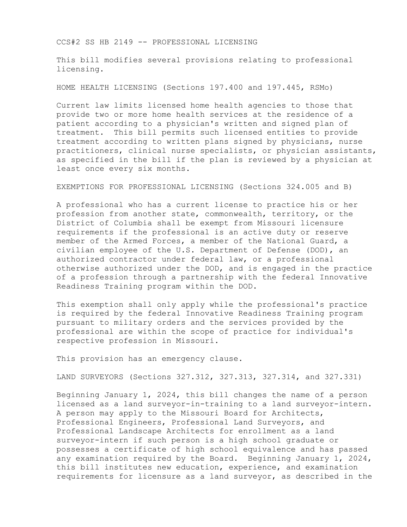CCS#2 SS HB 2149 -- PROFESSIONAL LICENSING

This bill modifies several provisions relating to professional licensing.

HOME HEALTH LICENSING (Sections 197.400 and 197.445, RSMo)

Current law limits licensed home health agencies to those that provide two or more home health services at the residence of a patient according to a physician's written and signed plan of treatment. This bill permits such licensed entities to provide treatment according to written plans signed by physicians, nurse practitioners, clinical nurse specialists, or physician assistants, as specified in the bill if the plan is reviewed by a physician at least once every six months.

EXEMPTIONS FOR PROFESSIONAL LICENSING (Sections 324.005 and B)

A professional who has a current license to practice his or her profession from another state, commonwealth, territory, or the District of Columbia shall be exempt from Missouri licensure requirements if the professional is an active duty or reserve member of the Armed Forces, a member of the National Guard, a civilian employee of the U.S. Department of Defense (DOD), an authorized contractor under federal law, or a professional otherwise authorized under the DOD, and is engaged in the practice of a profession through a partnership with the federal Innovative Readiness Training program within the DOD.

This exemption shall only apply while the professional's practice is required by the federal Innovative Readiness Training program pursuant to military orders and the services provided by the professional are within the scope of practice for individual's respective profession in Missouri.

This provision has an emergency clause.

LAND SURVEYORS (Sections 327.312, 327.313, 327.314, and 327.331)

Beginning January 1, 2024, this bill changes the name of a person licensed as a land surveyor-in-training to a land surveyor-intern. A person may apply to the Missouri Board for Architects, Professional Engineers, Professional Land Surveyors, and Professional Landscape Architects for enrollment as a land surveyor-intern if such person is a high school graduate or possesses a certificate of high school equivalence and has passed any examination required by the Board. Beginning January 1, 2024, this bill institutes new education, experience, and examination requirements for licensure as a land surveyor, as described in the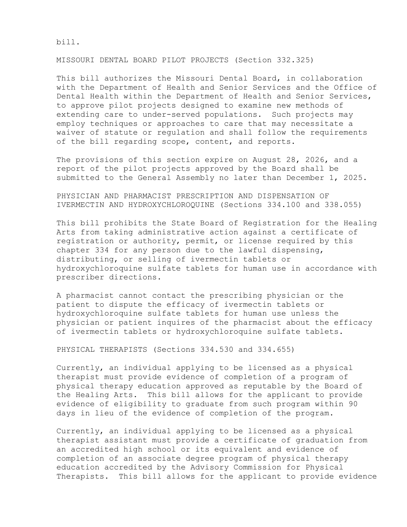bill.

MISSOURI DENTAL BOARD PILOT PROJECTS (Section 332.325)

This bill authorizes the Missouri Dental Board, in collaboration with the Department of Health and Senior Services and the Office of Dental Health within the Department of Health and Senior Services, to approve pilot projects designed to examine new methods of extending care to under-served populations. Such projects may employ techniques or approaches to care that may necessitate a waiver of statute or regulation and shall follow the requirements of the bill regarding scope, content, and reports.

The provisions of this section expire on August 28, 2026, and a report of the pilot projects approved by the Board shall be submitted to the General Assembly no later than December 1, 2025.

PHYSICIAN AND PHARMACIST PRESCRIPTION AND DISPENSATION OF IVERMECTIN AND HYDROXYCHLOROQUINE (Sections 334.100 and 338.055)

This bill prohibits the State Board of Registration for the Healing Arts from taking administrative action against a certificate of registration or authority, permit, or license required by this chapter 334 for any person due to the lawful dispensing, distributing, or selling of ivermectin tablets or hydroxychloroquine sulfate tablets for human use in accordance with prescriber directions.

A pharmacist cannot contact the prescribing physician or the patient to dispute the efficacy of ivermectin tablets or hydroxychloroquine sulfate tablets for human use unless the physician or patient inquires of the pharmacist about the efficacy of ivermectin tablets or hydroxychloroquine sulfate tablets.

PHYSICAL THERAPISTS (Sections 334.530 and 334.655)

Currently, an individual applying to be licensed as a physical therapist must provide evidence of completion of a program of physical therapy education approved as reputable by the Board of the Healing Arts. This bill allows for the applicant to provide evidence of eligibility to graduate from such program within 90 days in lieu of the evidence of completion of the program.

Currently, an individual applying to be licensed as a physical therapist assistant must provide a certificate of graduation from an accredited high school or its equivalent and evidence of completion of an associate degree program of physical therapy education accredited by the Advisory Commission for Physical Therapists. This bill allows for the applicant to provide evidence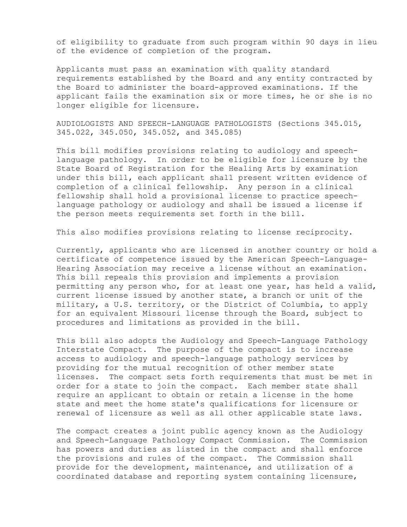of eligibility to graduate from such program within 90 days in lieu of the evidence of completion of the program.

Applicants must pass an examination with quality standard requirements established by the Board and any entity contracted by the Board to administer the board-approved examinations. If the applicant fails the examination six or more times, he or she is no longer eligible for licensure.

AUDIOLOGISTS AND SPEECH-LANGUAGE PATHOLOGISTS (Sections 345.015, 345.022, 345.050, 345.052, and 345.085)

This bill modifies provisions relating to audiology and speechlanguage pathology. In order to be eligible for licensure by the State Board of Registration for the Healing Arts by examination under this bill, each applicant shall present written evidence of completion of a clinical fellowship. Any person in a clinical fellowship shall hold a provisional license to practice speechlanguage pathology or audiology and shall be issued a license if the person meets requirements set forth in the bill.

This also modifies provisions relating to license reciprocity.

Currently, applicants who are licensed in another country or hold a certificate of competence issued by the American Speech-Language-Hearing Association may receive a license without an examination. This bill repeals this provision and implements a provision permitting any person who, for at least one year, has held a valid, current license issued by another state, a branch or unit of the military, a U.S. territory, or the District of Columbia, to apply for an equivalent Missouri license through the Board, subject to procedures and limitations as provided in the bill.

This bill also adopts the Audiology and Speech-Language Pathology Interstate Compact. The purpose of the compact is to increase access to audiology and speech-language pathology services by providing for the mutual recognition of other member state licenses. The compact sets forth requirements that must be met in order for a state to join the compact. Each member state shall require an applicant to obtain or retain a license in the home state and meet the home state's qualifications for licensure or renewal of licensure as well as all other applicable state laws.

The compact creates a joint public agency known as the Audiology and Speech-Language Pathology Compact Commission. The Commission has powers and duties as listed in the compact and shall enforce the provisions and rules of the compact. The Commission shall provide for the development, maintenance, and utilization of a coordinated database and reporting system containing licensure,